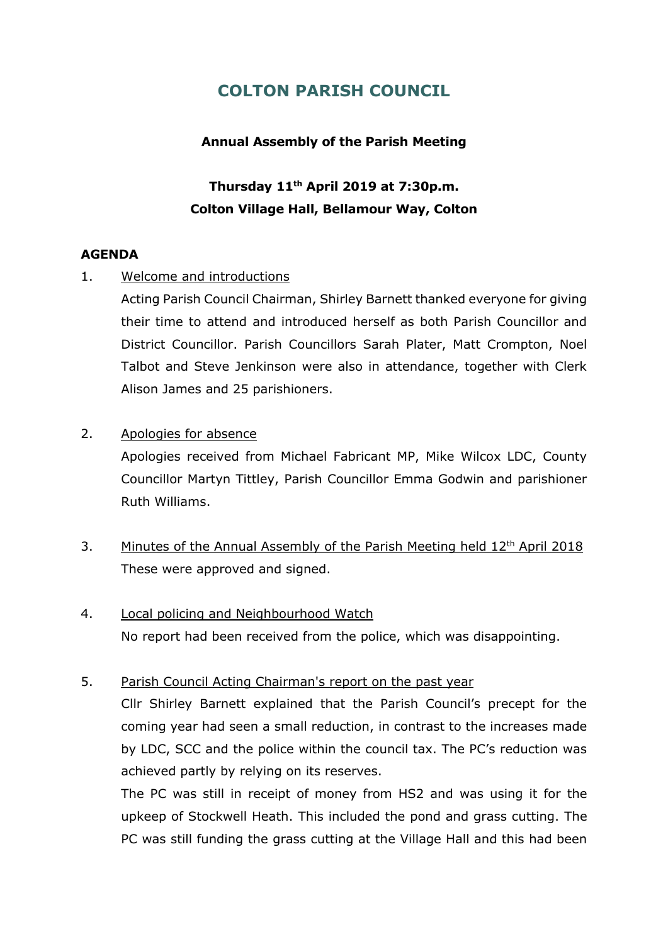# **COLTON PARISH COUNCIL**

# **Annual Assembly of the Parish Meeting**

# **Thursday 11 th April 2019 at 7:30p.m. Colton Village Hall, Bellamour Way, Colton**

# **AGENDA**

1. Welcome and introductions

Acting Parish Council Chairman, Shirley Barnett thanked everyone for giving their time to attend and introduced herself as both Parish Councillor and District Councillor. Parish Councillors Sarah Plater, Matt Crompton, Noel Talbot and Steve Jenkinson were also in attendance, together with Clerk Alison James and 25 parishioners.

2. Apologies for absence

Apologies received from Michael Fabricant MP, Mike Wilcox LDC, County Councillor Martyn Tittley, Parish Councillor Emma Godwin and parishioner Ruth Williams.

- 3. Minutes of the Annual Assembly of the Parish Meeting held 12<sup>th</sup> April 2018 These were approved and signed.
- 4. Local policing and Neighbourhood Watch No report had been received from the police, which was disappointing.
- 5. Parish Council Acting Chairman's report on the past year

Cllr Shirley Barnett explained that the Parish Council's precept for the coming year had seen a small reduction, in contrast to the increases made by LDC, SCC and the police within the council tax. The PC's reduction was achieved partly by relying on its reserves.

The PC was still in receipt of money from HS2 and was using it for the upkeep of Stockwell Heath. This included the pond and grass cutting. The PC was still funding the grass cutting at the Village Hall and this had been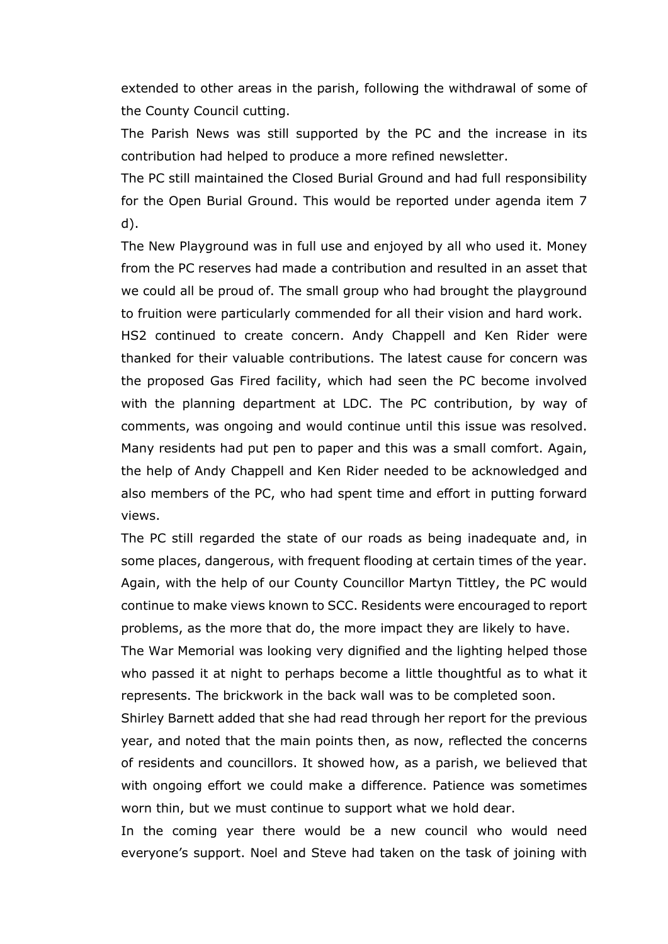extended to other areas in the parish, following the withdrawal of some of the County Council cutting.

The Parish News was still supported by the PC and the increase in its contribution had helped to produce a more refined newsletter.

The PC still maintained the Closed Burial Ground and had full responsibility for the Open Burial Ground. This would be reported under agenda item 7 d).

The New Playground was in full use and enjoyed by all who used it. Money from the PC reserves had made a contribution and resulted in an asset that we could all be proud of. The small group who had brought the playground to fruition were particularly commended for all their vision and hard work. HS2 continued to create concern. Andy Chappell and Ken Rider were thanked for their valuable contributions. The latest cause for concern was the proposed Gas Fired facility, which had seen the PC become involved with the planning department at LDC. The PC contribution, by way of comments, was ongoing and would continue until this issue was resolved. Many residents had put pen to paper and this was a small comfort. Again, the help of Andy Chappell and Ken Rider needed to be acknowledged and also members of the PC, who had spent time and effort in putting forward views.

The PC still regarded the state of our roads as being inadequate and, in some places, dangerous, with frequent flooding at certain times of the year. Again, with the help of our County Councillor Martyn Tittley, the PC would continue to make views known to SCC. Residents were encouraged to report problems, as the more that do, the more impact they are likely to have.

The War Memorial was looking very dignified and the lighting helped those who passed it at night to perhaps become a little thoughtful as to what it represents. The brickwork in the back wall was to be completed soon.

Shirley Barnett added that she had read through her report for the previous year, and noted that the main points then, as now, reflected the concerns of residents and councillors. It showed how, as a parish, we believed that with ongoing effort we could make a difference. Patience was sometimes worn thin, but we must continue to support what we hold dear.

In the coming year there would be a new council who would need everyone's support. Noel and Steve had taken on the task of joining with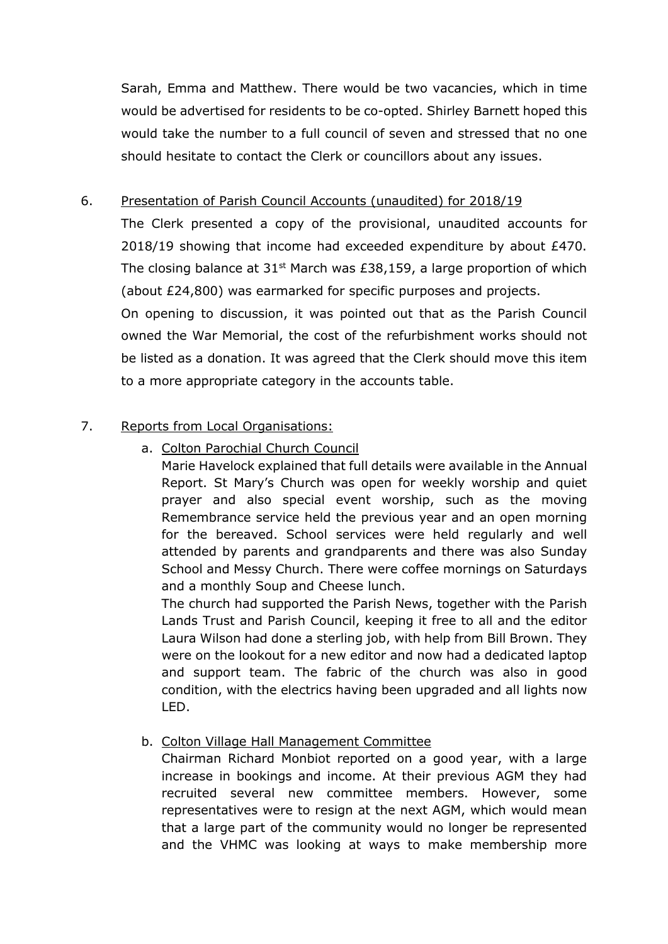Sarah, Emma and Matthew. There would be two vacancies, which in time would be advertised for residents to be co-opted. Shirley Barnett hoped this would take the number to a full council of seven and stressed that no one should hesitate to contact the Clerk or councillors about any issues.

# 6. Presentation of Parish Council Accounts (unaudited) for 2018/19

The Clerk presented a copy of the provisional, unaudited accounts for 2018/19 showing that income had exceeded expenditure by about £470. The closing balance at  $31^{st}$  March was £38,159, a large proportion of which (about £24,800) was earmarked for specific purposes and projects.

On opening to discussion, it was pointed out that as the Parish Council owned the War Memorial, the cost of the refurbishment works should not be listed as a donation. It was agreed that the Clerk should move this item to a more appropriate category in the accounts table.

# 7. Reports from Local Organisations:

# a. Colton Parochial Church Council

Marie Havelock explained that full details were available in the Annual Report. St Mary's Church was open for weekly worship and quiet prayer and also special event worship, such as the moving Remembrance service held the previous year and an open morning for the bereaved. School services were held regularly and well attended by parents and grandparents and there was also Sunday School and Messy Church. There were coffee mornings on Saturdays and a monthly Soup and Cheese lunch.

The church had supported the Parish News, together with the Parish Lands Trust and Parish Council, keeping it free to all and the editor Laura Wilson had done a sterling job, with help from Bill Brown. They were on the lookout for a new editor and now had a dedicated laptop and support team. The fabric of the church was also in good condition, with the electrics having been upgraded and all lights now LED.

# b. Colton Village Hall Management Committee

Chairman Richard Monbiot reported on a good year, with a large increase in bookings and income. At their previous AGM they had recruited several new committee members. However, some representatives were to resign at the next AGM, which would mean that a large part of the community would no longer be represented and the VHMC was looking at ways to make membership more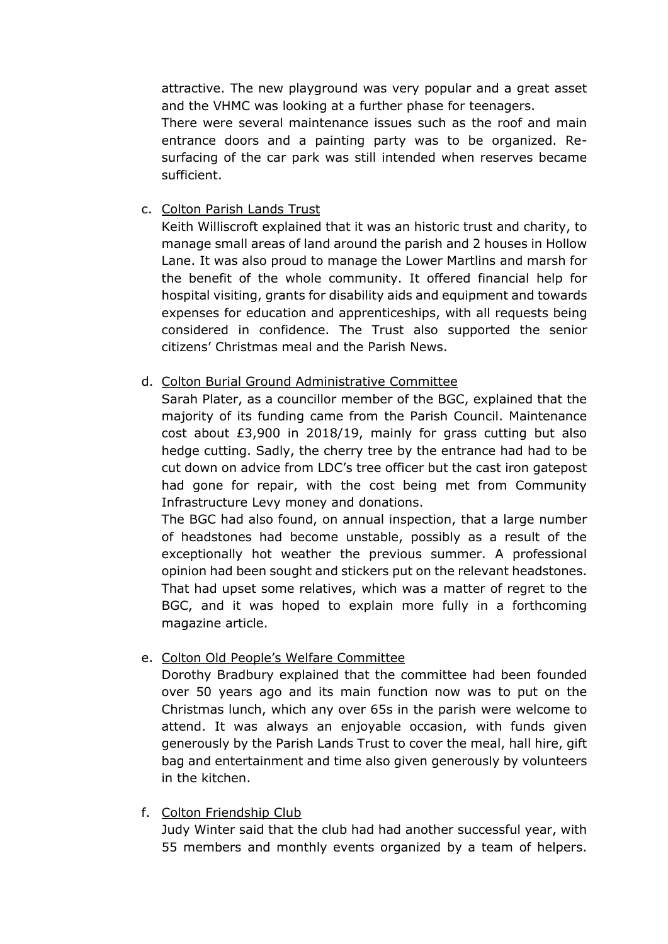attractive. The new playground was very popular and a great asset and the VHMC was looking at a further phase for teenagers.

There were several maintenance issues such as the roof and main entrance doors and a painting party was to be organized. Resurfacing of the car park was still intended when reserves became sufficient.

## c. Colton Parish Lands Trust

Keith Williscroft explained that it was an historic trust and charity, to manage small areas of land around the parish and 2 houses in Hollow Lane. It was also proud to manage the Lower Martlins and marsh for the benefit of the whole community. It offered financial help for hospital visiting, grants for disability aids and equipment and towards expenses for education and apprenticeships, with all requests being considered in confidence. The Trust also supported the senior citizens' Christmas meal and the Parish News.

#### d. Colton Burial Ground Administrative Committee

Sarah Plater, as a councillor member of the BGC, explained that the majority of its funding came from the Parish Council. Maintenance cost about £3,900 in 2018/19, mainly for grass cutting but also hedge cutting. Sadly, the cherry tree by the entrance had had to be cut down on advice from LDC's tree officer but the cast iron gatepost had gone for repair, with the cost being met from Community Infrastructure Levy money and donations.

The BGC had also found, on annual inspection, that a large number of headstones had become unstable, possibly as a result of the exceptionally hot weather the previous summer. A professional opinion had been sought and stickers put on the relevant headstones. That had upset some relatives, which was a matter of regret to the BGC, and it was hoped to explain more fully in a forthcoming magazine article.

## e. Colton Old People's Welfare Committee

Dorothy Bradbury explained that the committee had been founded over 50 years ago and its main function now was to put on the Christmas lunch, which any over 65s in the parish were welcome to attend. It was always an enjoyable occasion, with funds given generously by the Parish Lands Trust to cover the meal, hall hire, gift bag and entertainment and time also given generously by volunteers in the kitchen.

## f. Colton Friendship Club

Judy Winter said that the club had had another successful year, with 55 members and monthly events organized by a team of helpers.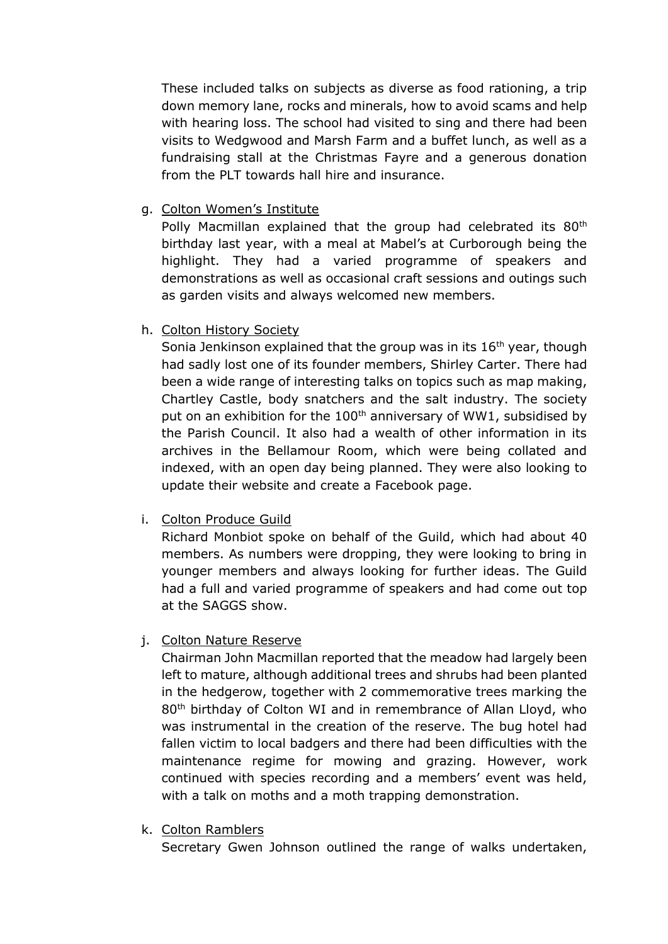These included talks on subjects as diverse as food rationing, a trip down memory lane, rocks and minerals, how to avoid scams and help with hearing loss. The school had visited to sing and there had been visits to Wedgwood and Marsh Farm and a buffet lunch, as well as a fundraising stall at the Christmas Fayre and a generous donation from the PLT towards hall hire and insurance.

## g. Colton Women's Institute

Polly Macmillan explained that the group had celebrated its 80<sup>th</sup> birthday last year, with a meal at Mabel's at Curborough being the highlight. They had a varied programme of speakers and demonstrations as well as occasional craft sessions and outings such as garden visits and always welcomed new members.

h. Colton History Society

Sonia Jenkinson explained that the group was in its  $16<sup>th</sup>$  year, though had sadly lost one of its founder members, Shirley Carter. There had been a wide range of interesting talks on topics such as map making, Chartley Castle, body snatchers and the salt industry. The society put on an exhibition for the  $100<sup>th</sup>$  anniversary of WW1, subsidised by the Parish Council. It also had a wealth of other information in its archives in the Bellamour Room, which were being collated and indexed, with an open day being planned. They were also looking to update their website and create a Facebook page.

i. Colton Produce Guild

Richard Monbiot spoke on behalf of the Guild, which had about 40 members. As numbers were dropping, they were looking to bring in younger members and always looking for further ideas. The Guild had a full and varied programme of speakers and had come out top at the SAGGS show.

j. Colton Nature Reserve

Chairman John Macmillan reported that the meadow had largely been left to mature, although additional trees and shrubs had been planted in the hedgerow, together with 2 commemorative trees marking the 80th birthday of Colton WI and in remembrance of Allan Lloyd, who was instrumental in the creation of the reserve. The bug hotel had fallen victim to local badgers and there had been difficulties with the maintenance regime for mowing and grazing. However, work continued with species recording and a members' event was held, with a talk on moths and a moth trapping demonstration.

k. Colton Ramblers

Secretary Gwen Johnson outlined the range of walks undertaken,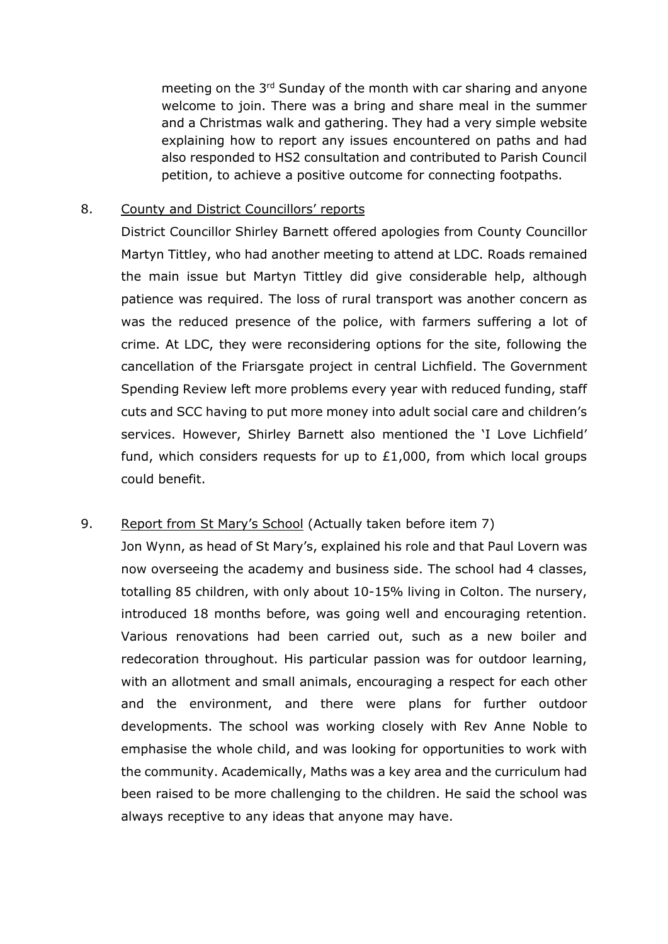meeting on the 3<sup>rd</sup> Sunday of the month with car sharing and anyone welcome to join. There was a bring and share meal in the summer and a Christmas walk and gathering. They had a very simple website explaining how to report any issues encountered on paths and had also responded to HS2 consultation and contributed to Parish Council petition, to achieve a positive outcome for connecting footpaths.

#### 8. County and District Councillors' reports

District Councillor Shirley Barnett offered apologies from County Councillor Martyn Tittley, who had another meeting to attend at LDC. Roads remained the main issue but Martyn Tittley did give considerable help, although patience was required. The loss of rural transport was another concern as was the reduced presence of the police, with farmers suffering a lot of crime. At LDC, they were reconsidering options for the site, following the cancellation of the Friarsgate project in central Lichfield. The Government Spending Review left more problems every year with reduced funding, staff cuts and SCC having to put more money into adult social care and children's services. However, Shirley Barnett also mentioned the 'I Love Lichfield' fund, which considers requests for up to  $£1,000$ , from which local groups could benefit.

## 9. Report from St Mary's School (Actually taken before item 7)

Jon Wynn, as head of St Mary's, explained his role and that Paul Lovern was now overseeing the academy and business side. The school had 4 classes, totalling 85 children, with only about 10-15% living in Colton. The nursery, introduced 18 months before, was going well and encouraging retention. Various renovations had been carried out, such as a new boiler and redecoration throughout. His particular passion was for outdoor learning, with an allotment and small animals, encouraging a respect for each other and the environment, and there were plans for further outdoor developments. The school was working closely with Rev Anne Noble to emphasise the whole child, and was looking for opportunities to work with the community. Academically, Maths was a key area and the curriculum had been raised to be more challenging to the children. He said the school was always receptive to any ideas that anyone may have.